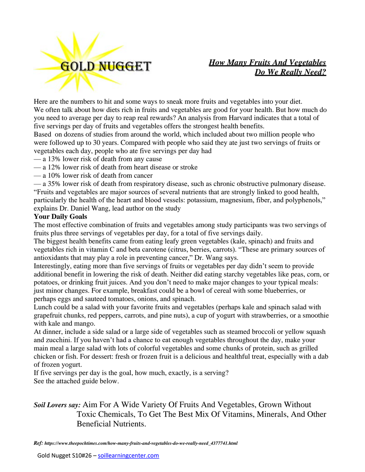

## *How Many Fruits And Vegetables Do We Really Need?*

Here are the numbers to hit and some ways to sneak more fruits and vegetables into your diet. We often talk about how diets rich in fruits and vegetables are good for your health. But how much do you need to average per day to reap real rewards? An analysis from Harvard indicates that a total of five servings per day of fruits and vegetables offers the strongest health benefits.

Based on dozens of studies from around the world, which included about two million people who were followed up to 30 years. Compared with people who said they ate just two servings of fruits or vegetables each day, people who ate five servings per day had

- a 13% lower risk of death from any cause
- a 12% lower risk of death from heart disease or stroke
- a 10% lower risk of death from cancer

— a 35% lower risk of death from respiratory disease, such as chronic obstructive pulmonary disease. "Fruits and vegetables are major sources of several nutrients that are strongly linked to good health, particularly the health of the heart and blood vessels: potassium, magnesium, fiber, and polyphenols," explains Dr. Daniel Wang, lead author on the study

## **Your Daily Goals**

The most effective combination of fruits and vegetables among study participants was two servings of fruits plus three servings of vegetables per day, for a total of five servings daily.

The biggest health benefits came from eating leafy green vegetables (kale, spinach) and fruits and vegetables rich in vitamin C and beta carotene (citrus, berries, carrots). "These are primary sources of antioxidants that may play a role in preventing cancer," Dr. Wang says.

Interestingly, eating more than five servings of fruits or vegetables per day didn't seem to provide additional benefit in lowering the risk of death. Neither did eating starchy vegetables like peas, corn, or potatoes, or drinking fruit juices. And you don't need to make major changes to your typical meals: just minor changes. For example, breakfast could be a bowl of cereal with some blueberries, or perhaps eggs and sauteed tomatoes, onions, and spinach.

Lunch could be a salad with your favorite fruits and vegetables (perhaps kale and spinach salad with grapefruit chunks, red peppers, carrots, and pine nuts), a cup of yogurt with strawberries, or a smoothie with kale and mango.

At dinner, include a side salad or a large side of vegetables such as steamed broccoli or yellow squash and zucchini. If you haven't had a chance to eat enough vegetables throughout the day, make your main meal a large salad with lots of colorful vegetables and some chunks of protein, such as grilled chicken or fish. For dessert: fresh or frozen fruit is a delicious and healthful treat, especially with a dab of frozen yogurt.

If five servings per day is the goal, how much, exactly, is a serving? See the attached guide below.

## *Soil Lovers say:* Aim For A Wide Variety Of Fruits And Vegetables, Grown Without Toxic Chemicals, To Get The Best Mix Of Vitamins, Minerals, And Other Beneficial Nutrients.

*Ref: https://www.theepochtimes.com/how-many-fruits-and-vegetables-do-we-really-need\_4377741.html*